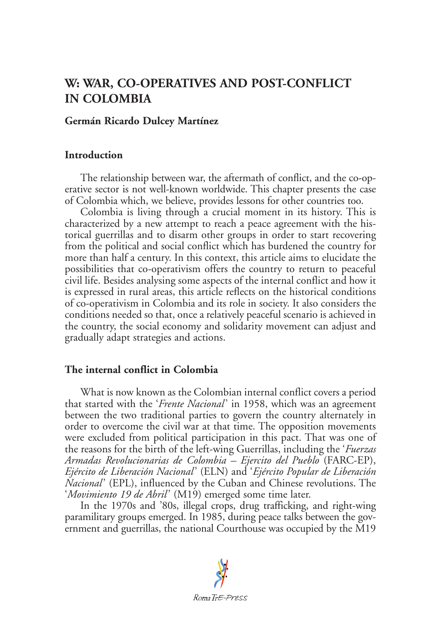# **W: WAR, CO-OPERATIVES AND POST-CONFLICT IN COLOMBIA**

#### **Germán Ricardo Dulcey Martínez**

#### **Introduction**

The relationship between war, the aftermath of conflict, and the co-operative sector is not well-known worldwide. This chapter presents the case of Colombia which, we believe, provides lessons for other countries too.

Colombia is living through a crucial moment in its history. This is characterized by a new attempt to reach a peace agreement with the historical guerrillas and to disarm other groups in order to start recovering from the political and social conflict which has burdened the country for more than half a century. In this context, this article aims to elucidate the possibilities that co-operativism offers the country to return to peaceful civil life. Besides analysing some aspects of the internal conflict and how it is expressed in rural areas, this article reflects on the historical conditions of co-operativism in Colombia and its role in society. It also considers the conditions needed so that, once a relatively peaceful scenario is achieved in the country, the social economy and solidarity movement can adjust and gradually adapt strategies and actions.

## **The internal conflict in Colombia**

What is now known as the Colombian internal conflict covers a period that started with the '*Frente Nacional*' in 1958, which was an agreement between the two traditional parties to govern the country alternately in order to overcome the civil war at that time. The opposition movements were excluded from political participation in this pact. That was one of the reasons for the birth of the left-wing Guerrillas, including the '*Fuerzas Armadas Revolucionarias de Colombia – Ejercito del Pueblo* (FARC-EP), *Ejército de Liberación Nacional*' (ELN) and '*Ejército Popular de Liberación Nacional*' (EPL), influenced by the Cuban and Chinese revolutions. The '*Movimiento 19 de Abril*' (M19) emerged some time later.

In the 1970s and '80s, illegal crops, drug trafficking, and right-wing paramilitary groups emerged. In 1985, during peace talks between the government and guerrillas, the national Courthouse was occupied by the M19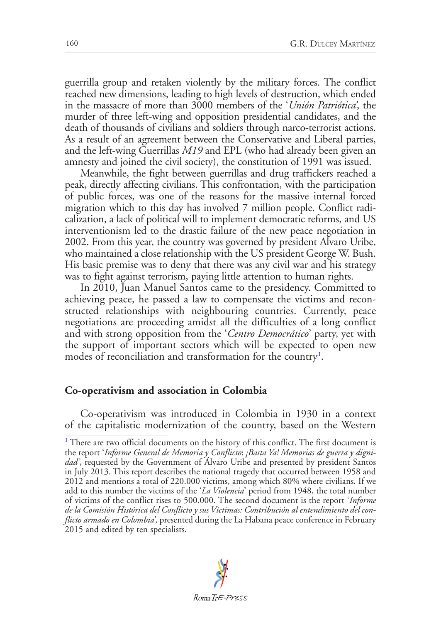guerrilla group and retaken violently by the military forces. The conflict reached new dimensions, leading to high levels of destruction, which ended in the massacre of more than 3000 members of the '*Unión Patriótica'*, the murder of three left-wing and opposition presidential candidates, and the death of thousands of civilians and soldiers through narco-terrorist actions. As a result of an agreement between the Conservative and Liberal parties, and the left-wing Guerrillas *M19* and EPL (who had already been given an amnesty and joined the civil society), the constitution of 1991 was issued.

Meanwhile, the fight between guerrillas and drug traffickers reached a peak, directly affecting civilians. This confrontation, with the participation of public forces, was one of the reasons for the massive internal forced migration which to this day has involved 7 million people. Conflict radicalization, a lack of political will to implement democratic reforms, and US interventionism led to the drastic failure of the new peace negotiation in 2002. From this year, the country was governed by president Alvaro Uribe, who maintained a close relationship with the US president George W. Bush. His basic premise was to deny that there was any civil war and his strategy was to fight against terrorism, paying little attention to human rights.

In 2010, Juan Manuel Santos came to the presidency. Committed to achieving peace, he passed a law to compensate the victims and reconstructed relationships with neighbouring countries. Currently, peace negotiations are proceeding amidst all the difficulties of a long conflict and with strong opposition from the '*Centro Democrático*' party, yet with the support of important sectors which will be expected to open new modes of reconciliation and transformation for the country<sup>[1](#page-1-0)</sup>.

#### <span id="page-1-1"></span>**Co-operativism and association in Colombia**

Co-operativism was introduced in Colombia in 1930 in a context of the capitalistic modernization of the country, based on the Western

<span id="page-1-0"></span><sup>&</sup>lt;sup>[1](#page-1-1)</sup> There are two official documents on the history of this conflict. The first document is the report '*Informe General de Memoria y Conflicto*: *¡Basta Ya! Memorias de guerra y dignidad'*, requested by the Government of Álvaro Uribe and presented by president Santos in July 2013. This report describes the national tragedy that occurred between 1958 and 2012 and mentions a total of 220.000 victims, among which 80% where civilians. If we add to this number the victims of the '*La Violencia*' period from 1948, the total number of victims of the conflict rises to 500.000. The second document is the report '*Informe de la Comisión Histórica del Conflicto y sus Víctimas: Contribución al entendimiento del conflicto armado en Colombia'*, presented during the La Habana peace conference in February 2015 and edited by ten specialists.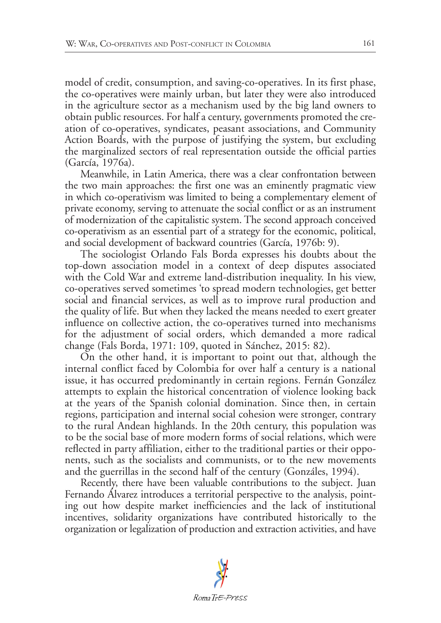model of credit, consumption, and saving-co-operatives. In its first phase, the co-operatives were mainly urban, but later they were also introduced in the agriculture sector as a mechanism used by the big land owners to obtain public resources. For half a century, governments promoted the creation of co-operatives, syndicates, peasant associations, and Community Action Boards, with the purpose of justifying the system, but excluding the marginalized sectors of real representation outside the official parties (García, 1976a).

Meanwhile, in Latin America, there was a clear confrontation between the two main approaches: the first one was an eminently pragmatic view in which co-operativism was limited to being a complementary element of private economy, serving to attenuate the social conflict or as an instrument of modernization of the capitalistic system. The second approach conceived co-operativism as an essential part of a strategy for the economic, political, and social development of backward countries (García, 1976b: 9).

The sociologist Orlando Fals Borda expresses his doubts about the top-down association model in a context of deep disputes associated with the Cold War and extreme land-distribution inequality. In his view, co-operatives served sometimes 'to spread modern technologies, get better social and financial services, as well as to improve rural production and the quality of life. But when they lacked the means needed to exert greater influence on collective action, the co-operatives turned into mechanisms for the adjustment of social orders, which demanded a more radical change (Fals Borda, 1971: 109, quoted in Sánchez, 2015: 82).

On the other hand, it is important to point out that, although the internal conflict faced by Colombia for over half a century is a national issue, it has occurred predominantly in certain regions. Fernán González attempts to explain the historical concentration of violence looking back at the years of the Spanish colonial domination. Since then, in certain regions, participation and internal social cohesion were stronger, contrary to the rural Andean highlands. In the 20th century, this population was to be the social base of more modern forms of social relations, which were reflected in party affiliation, either to the traditional parties or their opponents, such as the socialists and communists, or to the new movements and the guerrillas in the second half of the century (Gonzáles, 1994).

Recently, there have been valuable contributions to the subject. Juan Fernando Álvarez introduces a territorial perspective to the analysis, pointing out how despite market inefficiencies and the lack of institutional incentives, solidarity organizations have contributed historically to the organization or legalization of production and extraction activities, and have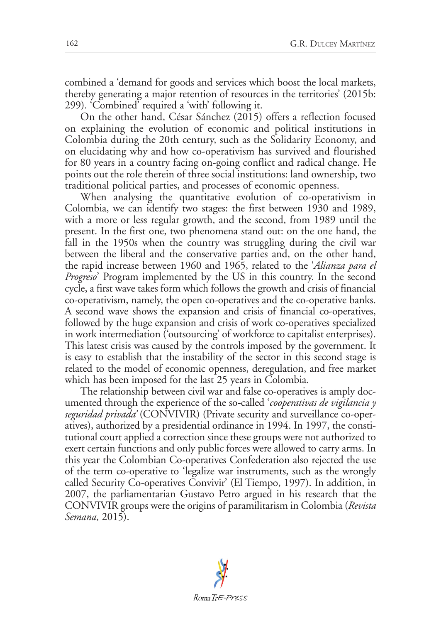combined a 'demand for goods and services which boost the local markets, thereby generating a major retention of resources in the territories' (2015b: 299). 'Combined' required a 'with' following it.

On the other hand, César Sánchez (2015) offers a reflection focused on explaining the evolution of economic and political institutions in Colombia during the 20th century, such as the Solidarity Economy, and on elucidating why and how co-operativism has survived and flourished for 80 years in a country facing on-going conflict and radical change. He points out the role therein of three social institutions: land ownership, two traditional political parties, and processes of economic openness.

When analysing the quantitative evolution of co-operativism in Colombia, we can identify two stages: the first between 1930 and 1989, with a more or less regular growth, and the second, from 1989 until the present. In the first one, two phenomena stand out: on the one hand, the fall in the 1950s when the country was struggling during the civil war between the liberal and the conservative parties and, on the other hand, the rapid increase between 1960 and 1965, related to the '*Alianza para el Progreso*' Program implemented by the US in this country. In the second cycle, a first wave takes form which follows the growth and crisis of financial co-operativism, namely, the open co-operatives and the co-operative banks. A second wave shows the expansion and crisis of financial co-operatives, followed by the huge expansion and crisis of work co-operatives specialized in work intermediation ('outsourcing' of workforce to capitalist enterprises). This latest crisis was caused by the controls imposed by the government. It is easy to establish that the instability of the sector in this second stage is related to the model of economic openness, deregulation, and free market which has been imposed for the last 25 years in Colombia.

The relationship between civil war and false co-operatives is amply documented through the experience of the so-called '*cooperativas de vigilancia y seguridad privada'* (CONVIVIR) (Private security and surveillance co-operatives), authorized by a presidential ordinance in 1994. In 1997, the constitutional court applied a correction since these groups were not authorized to exert certain functions and only public forces were allowed to carry arms. In this year the Colombian Co-operatives Confederation also rejected the use of the term co-operative to 'legalize war instruments, such as the wrongly called Security Co-operatives Convivir' (El Tiempo, 1997). In addition, in 2007, the parliamentarian Gustavo Petro argued in his research that the CONVIVIR groups were the origins of paramilitarism in Colombia (*Revista Semana*, 2015).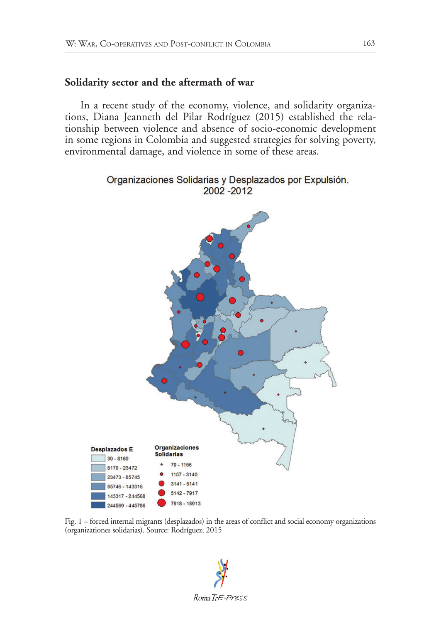### **Solidarity sector and the aftermath of war**

In a recent study of the economy, violence, and solidarity organizations, Diana Jeanneth del Pilar Rodríguez (2015) established the relationship between violence and absence of socio-economic development in some regions in Colombia and suggested strategies for solving poverty, environmental damage, and violence in some of these areas.



Fig. 1 – forced internal migrants (desplazados) in the areas of conflict and social economy organizations (organizationes solidarias). Source: Rodríguez, 2015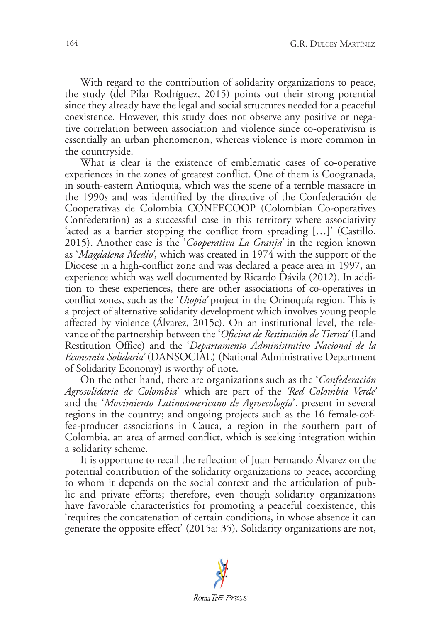With regard to the contribution of solidarity organizations to peace, the study (del Pilar Rodríguez, 2015) points out their strong potential since they already have the legal and social structures needed for a peaceful coexistence. However, this study does not observe any positive or negative correlation between association and violence since co-operativism is essentially an urban phenomenon, whereas violence is more common in the countryside.

What is clear is the existence of emblematic cases of co-operative experiences in the zones of greatest conflict. One of them is Coogranada, in south-eastern Antioquia, which was the scene of a terrible massacre in the 1990s and was identified by the directive of the Confederación de Cooperativas de Colombia CONFECOOP (Colombian Co-operatives Confederation) as a successful case in this territory where associativity 'acted as a barrier stopping the conflict from spreading […]' (Castillo, 2015). Another case is the '*Cooperativa La Granja'* in the region known as '*Magdalena Medio'*, which was created in 1974 with the support of the Diocese in a high-conflict zone and was declared a peace area in 1997, an experience which was well documented by Ricardo Dávila (2012). In addition to these experiences, there are other associations of co-operatives in conflict zones, such as the '*Utopia'* project in the Orinoquía region. This is a project of alternative solidarity development which involves young people affected by violence (Álvarez, 2015c). On an institutional level, the relevance of the partnership between the '*Oficina de Restitución de Tierras'* (Land Restitution Office) and the '*Departamento Administrativo Nacional de la Economía Solidaria'* (DANSOCIAL) (National Administrative Department of Solidarity Economy) is worthy of note.

On the other hand, there are organizations such as the '*Confederación Agrosolidaria de Colombia*' which are part of the *'Red Colombia Verde'* and the '*Movimiento Latinoamericano de Agroecología*', present in several regions in the country; and ongoing projects such as the 16 female-coffee-producer associations in Cauca, a region in the southern part of Colombia, an area of armed conflict, which is seeking integration within a solidarity scheme.

It is opportune to recall the reflection of Juan Fernando Álvarez on the potential contribution of the solidarity organizations to peace, according to whom it depends on the social context and the articulation of public and private efforts; therefore, even though solidarity organizations have favorable characteristics for promoting a peaceful coexistence, this 'requires the concatenation of certain conditions, in whose absence it can generate the opposite effect' (2015a: 35). Solidarity organizations are not,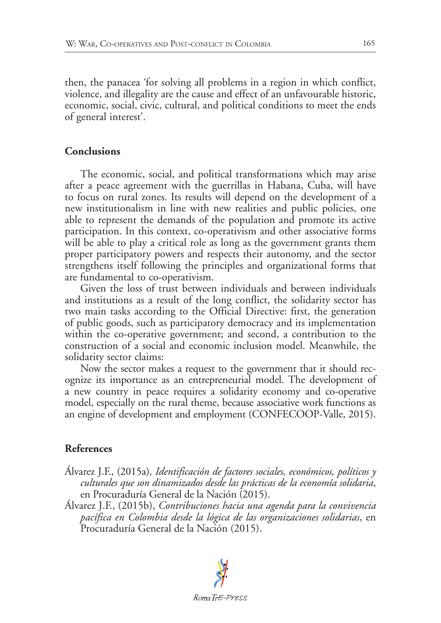then, the panacea 'for solving all problems in a region in which conflict, violence, and illegality are the cause and effect of an unfavourable historic, economic, social, civic, cultural, and political conditions to meet the ends of general interest'.

# **Conclusions**

The economic, social, and political transformations which may arise after a peace agreement with the guerrillas in Habana, Cuba, will have to focus on rural zones. Its results will depend on the development of a new institutionalism in line with new realities and public policies, one able to represent the demands of the population and promote its active participation. In this context, co-operativism and other associative forms will be able to play a critical role as long as the government grants them proper participatory powers and respects their autonomy, and the sector strengthens itself following the principles and organizational forms that are fundamental to co-operativism.

Given the loss of trust between individuals and between individuals and institutions as a result of the long conflict, the solidarity sector has two main tasks according to the Official Directive: first, the generation of public goods, such as participatory democracy and its implementation within the co-operative government; and second, a contribution to the construction of a social and economic inclusion model. Meanwhile, the solidarity sector claims:

Now the sector makes a request to the government that it should recognize its importance as an entrepreneurial model. The development of a new country in peace requires a solidarity economy and co-operative model, especially on the rural theme, because associative work functions as an engine of development and employment (CONFECOOP-Valle, 2015).

# **References**

- Álvarez J.F., (2015a)*, Identificación de factores sociales, económicos, políticos y culturales que son dinamizados desde las prácticas de la economía solidaria*, en Procuraduría General de la Nación (2015).
- Álvarez J.F., (2015b), *Contribuciones hacia una agenda para la convivencia pacífica en Colombia desde la lógica de las organizaciones solidarias*, en Procuraduría General de la Nación (2015).